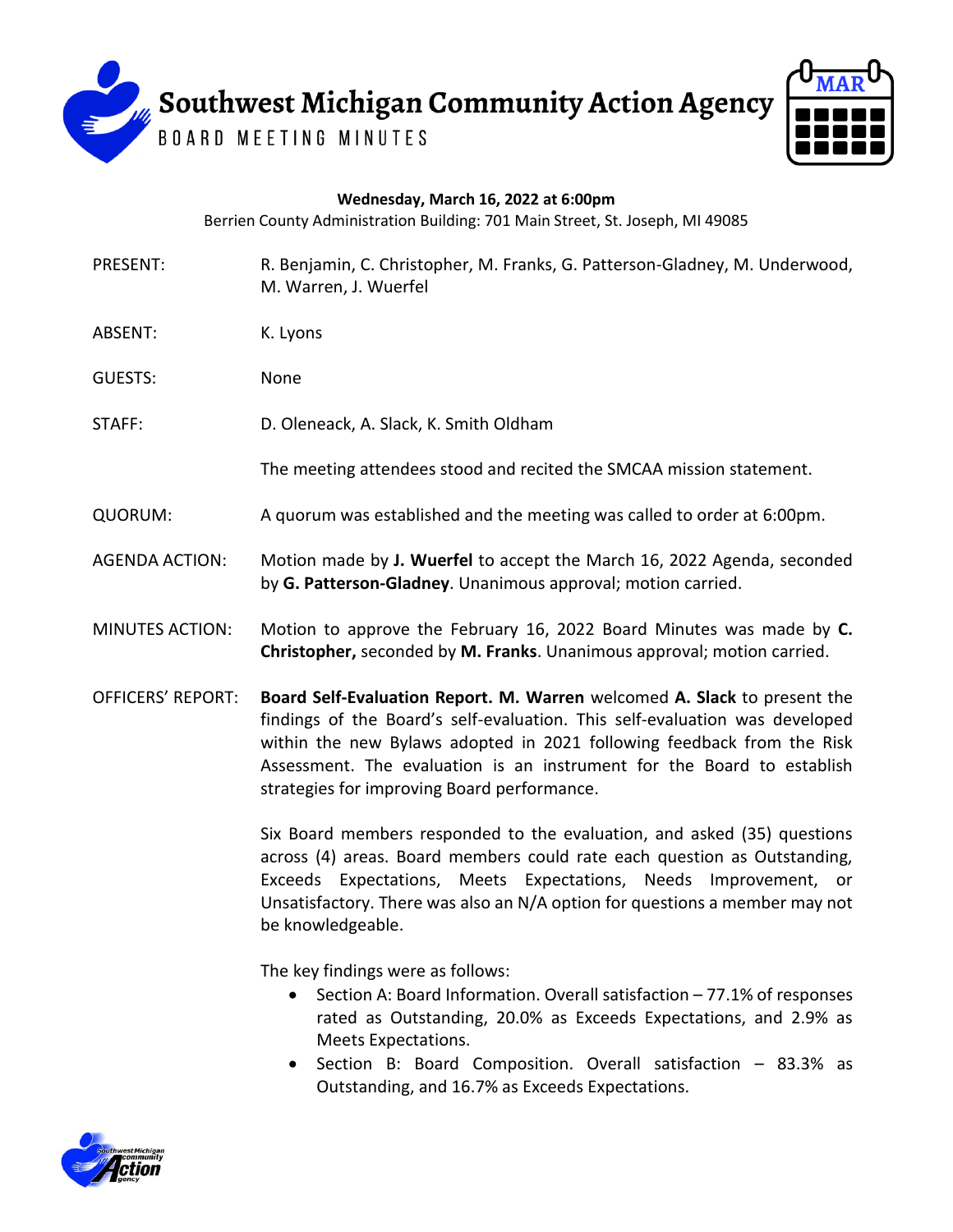Southwest Michigan Community Action Agency

**BOARD MEETING MINUTES** 



| Wednesday, March 16, 2022 at 6:00pm<br>Berrien County Administration Building: 701 Main Street, St. Joseph, MI 49085 |                                                                                                                                                                                                                                                                                                                                                            |
|----------------------------------------------------------------------------------------------------------------------|------------------------------------------------------------------------------------------------------------------------------------------------------------------------------------------------------------------------------------------------------------------------------------------------------------------------------------------------------------|
| PRESENT:                                                                                                             | R. Benjamin, C. Christopher, M. Franks, G. Patterson-Gladney, M. Underwood,<br>M. Warren, J. Wuerfel                                                                                                                                                                                                                                                       |
| ABSENT:                                                                                                              | K. Lyons                                                                                                                                                                                                                                                                                                                                                   |
| <b>GUESTS:</b>                                                                                                       | None                                                                                                                                                                                                                                                                                                                                                       |
| STAFF:                                                                                                               | D. Oleneack, A. Slack, K. Smith Oldham                                                                                                                                                                                                                                                                                                                     |
|                                                                                                                      | The meeting attendees stood and recited the SMCAA mission statement.                                                                                                                                                                                                                                                                                       |
| QUORUM:                                                                                                              | A quorum was established and the meeting was called to order at 6:00pm.                                                                                                                                                                                                                                                                                    |
| <b>AGENDA ACTION:</b>                                                                                                | Motion made by J. Wuerfel to accept the March 16, 2022 Agenda, seconded<br>by G. Patterson-Gladney. Unanimous approval; motion carried.                                                                                                                                                                                                                    |
| <b>MINUTES ACTION:</b>                                                                                               | Motion to approve the February 16, 2022 Board Minutes was made by C.<br>Christopher, seconded by M. Franks. Unanimous approval; motion carried.                                                                                                                                                                                                            |
| <b>OFFICERS' REPORT:</b>                                                                                             | Board Self-Evaluation Report. M. Warren welcomed A. Slack to present the<br>findings of the Board's self-evaluation. This self-evaluation was developed<br>within the new Bylaws adopted in 2021 following feedback from the Risk<br>Assessment. The evaluation is an instrument for the Board to establish<br>strategies for improving Board performance. |

Six Board members responded to the evaluation, and asked (35) questions across (4) areas. Board members could rate each question as Outstanding, Exceeds Expectations, Meets Expectations, Needs Improvement, or Unsatisfactory. There was also an N/A option for questions a member may not be knowledgeable.

The key findings were as follows:

- Section A: Board Information. Overall satisfaction 77.1% of responses rated as Outstanding, 20.0% as Exceeds Expectations, and 2.9% as Meets Expectations.
- Section B: Board Composition. Overall satisfaction 83.3% as Outstanding, and 16.7% as Exceeds Expectations.

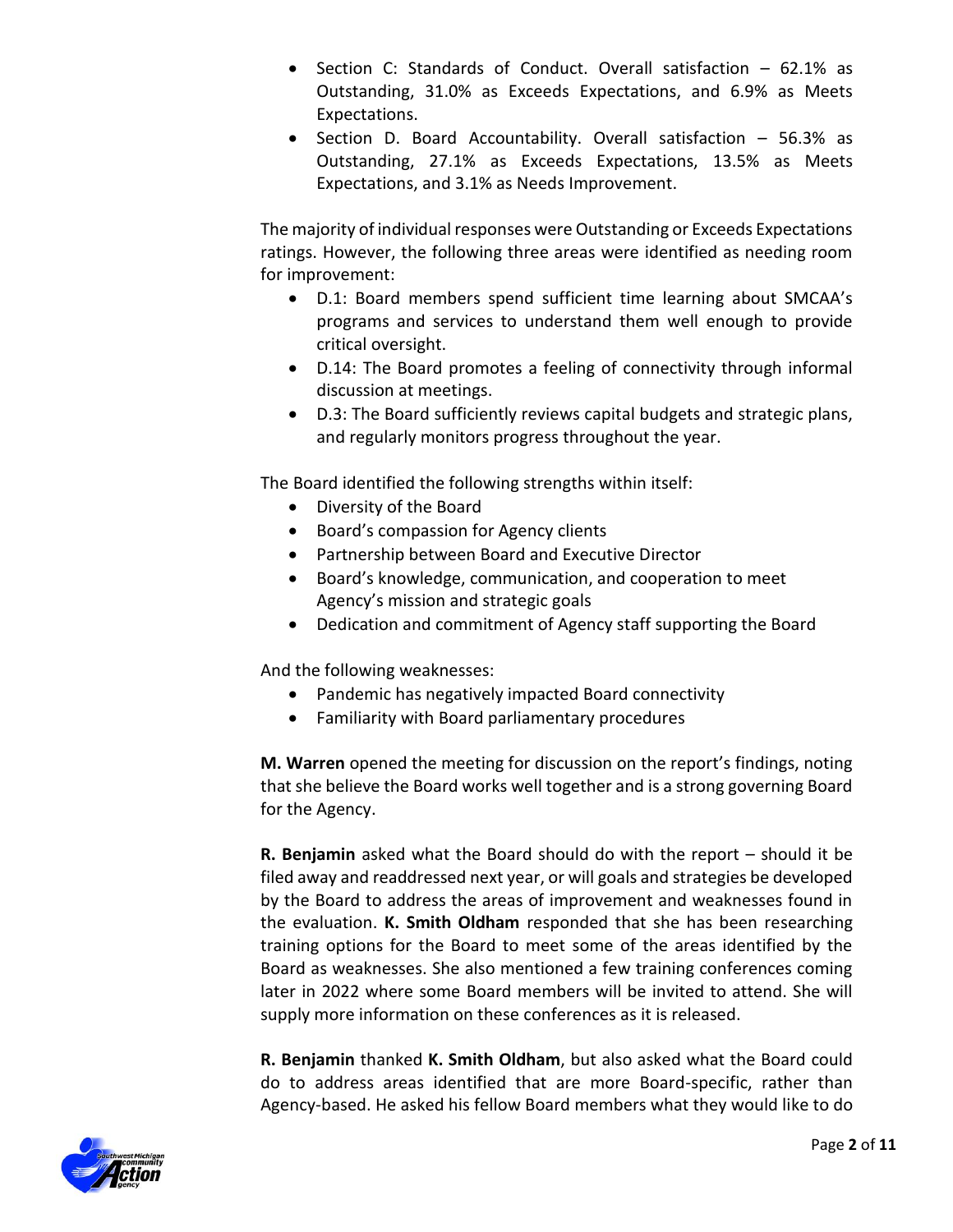- Section C: Standards of Conduct. Overall satisfaction  $-62.1\%$  as Outstanding, 31.0% as Exceeds Expectations, and 6.9% as Meets Expectations.
- Section D. Board Accountability. Overall satisfaction 56.3% as Outstanding, 27.1% as Exceeds Expectations, 13.5% as Meets Expectations, and 3.1% as Needs Improvement.

The majority of individual responses were Outstanding or Exceeds Expectations ratings. However, the following three areas were identified as needing room for improvement:

- D.1: Board members spend sufficient time learning about SMCAA's programs and services to understand them well enough to provide critical oversight.
- D.14: The Board promotes a feeling of connectivity through informal discussion at meetings.
- D.3: The Board sufficiently reviews capital budgets and strategic plans, and regularly monitors progress throughout the year.

The Board identified the following strengths within itself:

- Diversity of the Board
- **•** Board's compassion for Agency clients
- Partnership between Board and Executive Director
- Board's knowledge, communication, and cooperation to meet Agency's mission and strategic goals
- Dedication and commitment of Agency staff supporting the Board

And the following weaknesses:

- Pandemic has negatively impacted Board connectivity
- Familiarity with Board parliamentary procedures

**M. Warren** opened the meeting for discussion on the report's findings, noting that she believe the Board works well together and is a strong governing Board for the Agency.

**R. Benjamin** asked what the Board should do with the report – should it be filed away and readdressed next year, or will goals and strategies be developed by the Board to address the areas of improvement and weaknesses found in the evaluation. **K. Smith Oldham** responded that she has been researching training options for the Board to meet some of the areas identified by the Board as weaknesses. She also mentioned a few training conferences coming later in 2022 where some Board members will be invited to attend. She will supply more information on these conferences as it is released.

**R. Benjamin** thanked **K. Smith Oldham**, but also asked what the Board could do to address areas identified that are more Board-specific, rather than Agency-based. He asked his fellow Board members what they would like to do

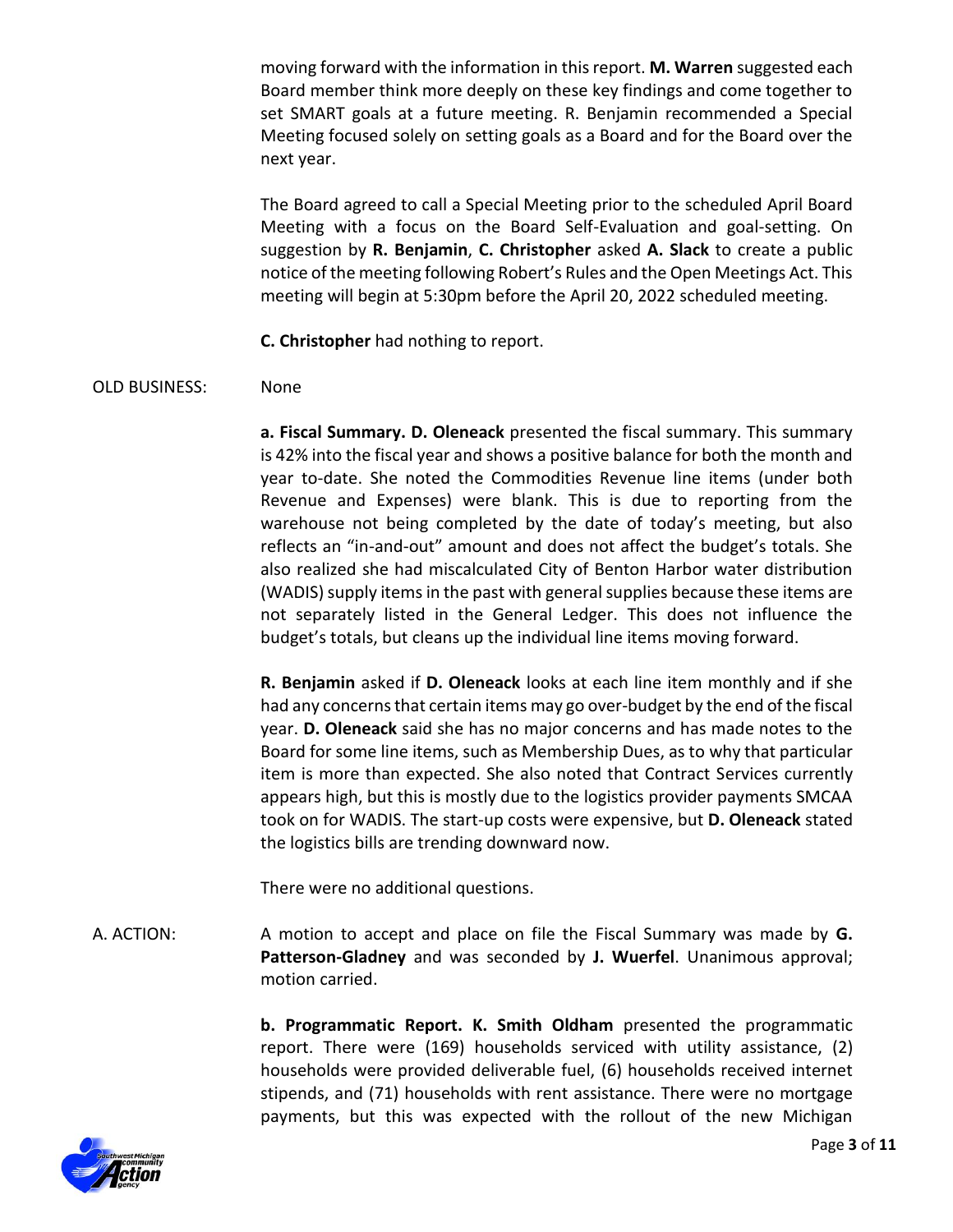moving forward with the information in this report. **M. Warren** suggested each Board member think more deeply on these key findings and come together to set SMART goals at a future meeting. R. Benjamin recommended a Special Meeting focused solely on setting goals as a Board and for the Board over the next year.

The Board agreed to call a Special Meeting prior to the scheduled April Board Meeting with a focus on the Board Self-Evaluation and goal-setting. On suggestion by **R. Benjamin**, **C. Christopher** asked **A. Slack** to create a public notice of the meeting following Robert's Rules and the Open Meetings Act. This meeting will begin at 5:30pm before the April 20, 2022 scheduled meeting.

**C. Christopher** had nothing to report.

## OLD BUSINESS: None

**a. Fiscal Summary. D. Oleneack** presented the fiscal summary. This summary is 42% into the fiscal year and shows a positive balance for both the month and year to-date. She noted the Commodities Revenue line items (under both Revenue and Expenses) were blank. This is due to reporting from the warehouse not being completed by the date of today's meeting, but also reflects an "in-and-out" amount and does not affect the budget's totals. She also realized she had miscalculated City of Benton Harbor water distribution (WADIS) supply items in the past with general supplies because these items are not separately listed in the General Ledger. This does not influence the budget's totals, but cleans up the individual line items moving forward.

**R. Benjamin** asked if **D. Oleneack** looks at each line item monthly and if she had any concerns that certain items may go over-budget by the end of the fiscal year. **D. Oleneack** said she has no major concerns and has made notes to the Board for some line items, such as Membership Dues, as to why that particular item is more than expected. She also noted that Contract Services currently appears high, but this is mostly due to the logistics provider payments SMCAA took on for WADIS. The start-up costs were expensive, but **D. Oleneack** stated the logistics bills are trending downward now.

There were no additional questions.

A. ACTION: A motion to accept and place on file the Fiscal Summary was made by **G. Patterson-Gladney** and was seconded by **J. Wuerfel**. Unanimous approval; motion carried.

> **b. Programmatic Report. K. Smith Oldham** presented the programmatic report. There were (169) households serviced with utility assistance, (2) households were provided deliverable fuel, (6) households received internet stipends, and (71) households with rent assistance. There were no mortgage payments, but this was expected with the rollout of the new Michigan

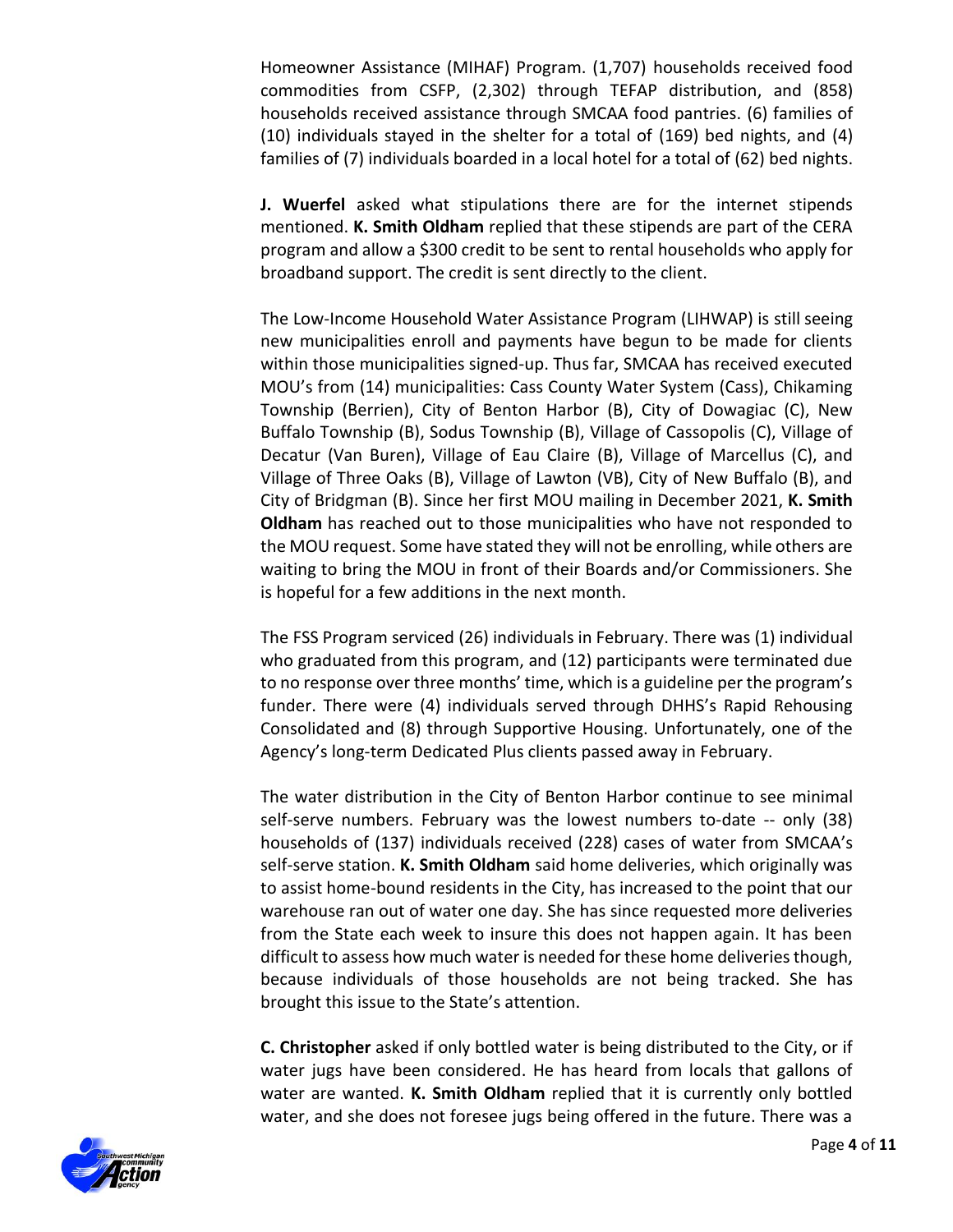Homeowner Assistance (MIHAF) Program. (1,707) households received food commodities from CSFP, (2,302) through TEFAP distribution, and (858) households received assistance through SMCAA food pantries. (6) families of (10) individuals stayed in the shelter for a total of (169) bed nights, and (4) families of (7) individuals boarded in a local hotel for a total of (62) bed nights.

**J. Wuerfel** asked what stipulations there are for the internet stipends mentioned. **K. Smith Oldham** replied that these stipends are part of the CERA program and allow a \$300 credit to be sent to rental households who apply for broadband support. The credit is sent directly to the client.

The Low-Income Household Water Assistance Program (LIHWAP) is still seeing new municipalities enroll and payments have begun to be made for clients within those municipalities signed-up. Thus far, SMCAA has received executed MOU's from (14) municipalities: Cass County Water System (Cass), Chikaming Township (Berrien), City of Benton Harbor (B), City of Dowagiac (C), New Buffalo Township (B), Sodus Township (B), Village of Cassopolis (C), Village of Decatur (Van Buren), Village of Eau Claire (B), Village of Marcellus (C), and Village of Three Oaks (B), Village of Lawton (VB), City of New Buffalo (B), and City of Bridgman (B). Since her first MOU mailing in December 2021, **K. Smith Oldham** has reached out to those municipalities who have not responded to the MOU request. Some have stated they will not be enrolling, while others are waiting to bring the MOU in front of their Boards and/or Commissioners. She is hopeful for a few additions in the next month.

The FSS Program serviced (26) individuals in February. There was (1) individual who graduated from this program, and (12) participants were terminated due to no response over three months' time, which is a guideline per the program's funder. There were (4) individuals served through DHHS's Rapid Rehousing Consolidated and (8) through Supportive Housing. Unfortunately, one of the Agency's long-term Dedicated Plus clients passed away in February.

The water distribution in the City of Benton Harbor continue to see minimal self-serve numbers. February was the lowest numbers to-date -- only (38) households of (137) individuals received (228) cases of water from SMCAA's self-serve station. **K. Smith Oldham** said home deliveries, which originally was to assist home-bound residents in the City, has increased to the point that our warehouse ran out of water one day. She has since requested more deliveries from the State each week to insure this does not happen again. It has been difficult to assess how much water is needed for these home deliveries though, because individuals of those households are not being tracked. She has brought this issue to the State's attention.

**C. Christopher** asked if only bottled water is being distributed to the City, or if water jugs have been considered. He has heard from locals that gallons of water are wanted. **K. Smith Oldham** replied that it is currently only bottled water, and she does not foresee jugs being offered in the future. There was a

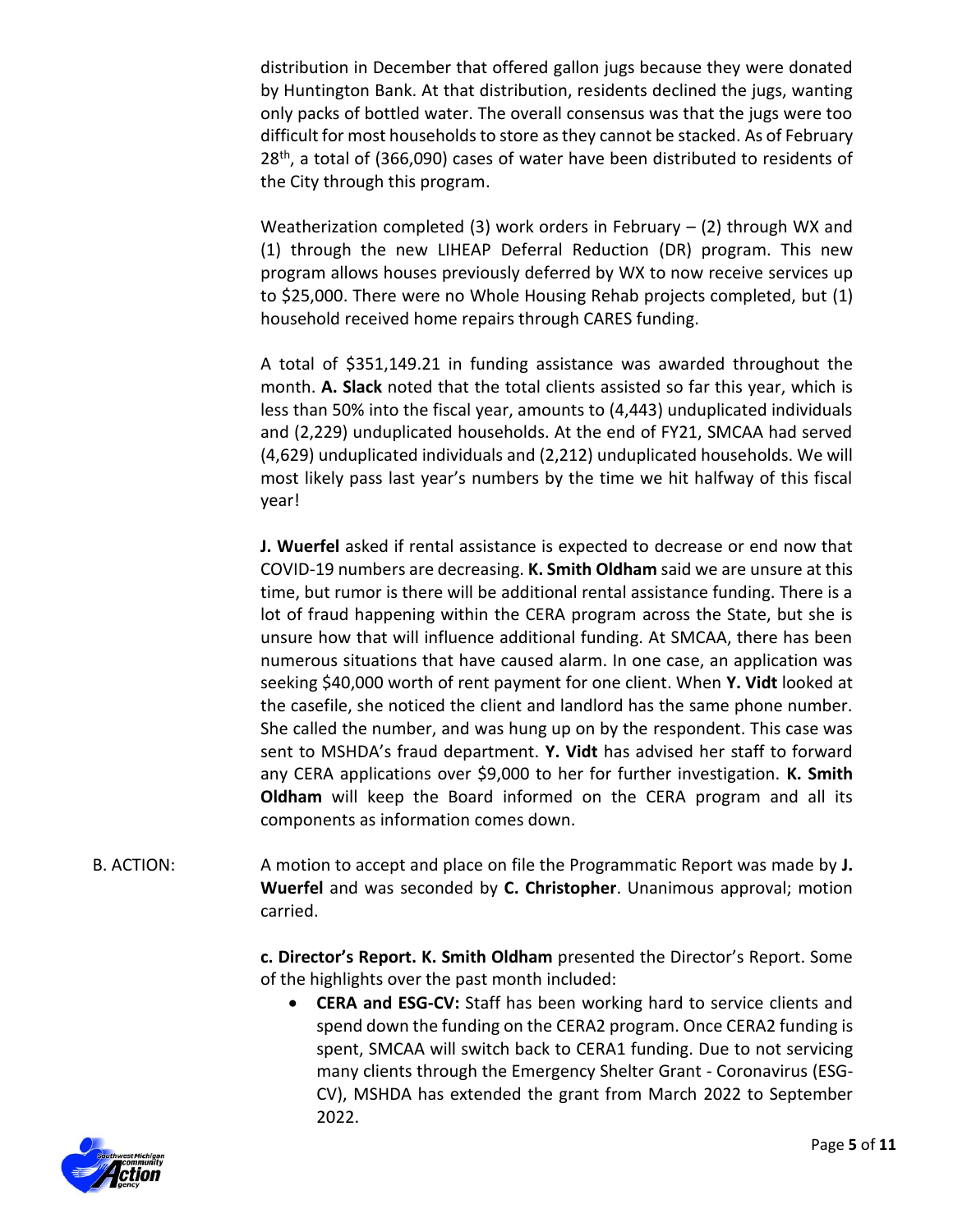distribution in December that offered gallon jugs because they were donated by Huntington Bank. At that distribution, residents declined the jugs, wanting only packs of bottled water. The overall consensus was that the jugs were too difficult for most households to store as they cannot be stacked. As of February 28<sup>th</sup>, a total of (366,090) cases of water have been distributed to residents of the City through this program.

Weatherization completed (3) work orders in February  $-$  (2) through WX and (1) through the new LIHEAP Deferral Reduction (DR) program. This new program allows houses previously deferred by WX to now receive services up to \$25,000. There were no Whole Housing Rehab projects completed, but (1) household received home repairs through CARES funding.

A total of \$351,149.21 in funding assistance was awarded throughout the month. **A. Slack** noted that the total clients assisted so far this year, which is less than 50% into the fiscal year, amounts to (4,443) unduplicated individuals and (2,229) unduplicated households. At the end of FY21, SMCAA had served (4,629) unduplicated individuals and (2,212) unduplicated households. We will most likely pass last year's numbers by the time we hit halfway of this fiscal year!

**J. Wuerfel** asked if rental assistance is expected to decrease or end now that COVID-19 numbers are decreasing. **K. Smith Oldham** said we are unsure at this time, but rumor is there will be additional rental assistance funding. There is a lot of fraud happening within the CERA program across the State, but she is unsure how that will influence additional funding. At SMCAA, there has been numerous situations that have caused alarm. In one case, an application was seeking \$40,000 worth of rent payment for one client. When **Y. Vidt** looked at the casefile, she noticed the client and landlord has the same phone number. She called the number, and was hung up on by the respondent. This case was sent to MSHDA's fraud department. **Y. Vidt** has advised her staff to forward any CERA applications over \$9,000 to her for further investigation. **K. Smith Oldham** will keep the Board informed on the CERA program and all its components as information comes down.

B. ACTION: A motion to accept and place on file the Programmatic Report was made by **J. Wuerfel** and was seconded by **C. Christopher**. Unanimous approval; motion carried.

> **c. Director's Report. K. Smith Oldham** presented the Director's Report. Some of the highlights over the past month included:

 **CERA and ESG-CV:** Staff has been working hard to service clients and spend down the funding on the CERA2 program. Once CERA2 funding is spent, SMCAA will switch back to CERA1 funding. Due to not servicing many clients through the Emergency Shelter Grant - Coronavirus (ESG-CV), MSHDA has extended the grant from March 2022 to September 2022.

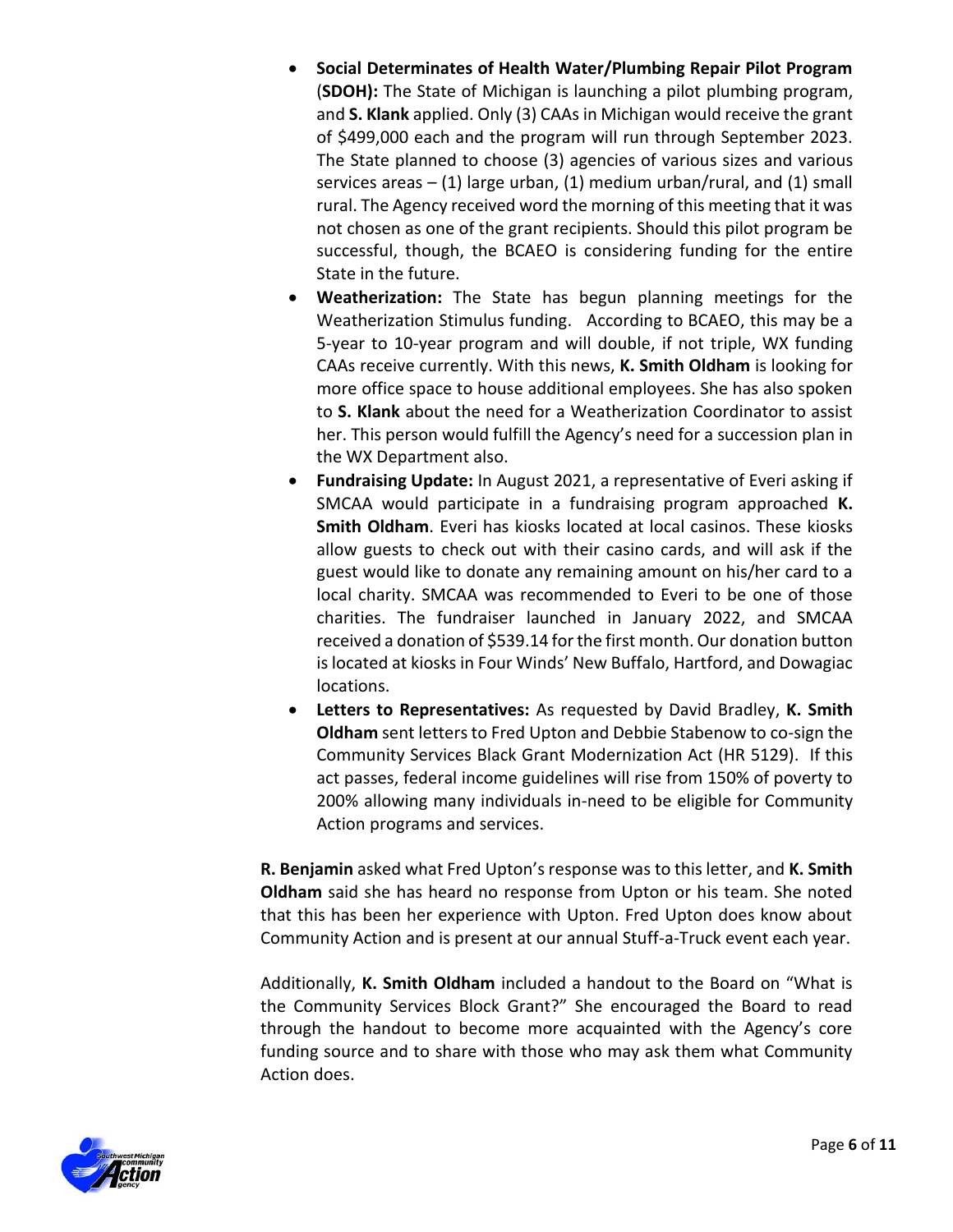- **Social Determinates of Health Water/Plumbing Repair Pilot Program** (**SDOH):** The State of Michigan is launching a pilot plumbing program, and **S. Klank** applied. Only (3) CAAs in Michigan would receive the grant of \$499,000 each and the program will run through September 2023. The State planned to choose (3) agencies of various sizes and various services areas  $- (1)$  large urban,  $(1)$  medium urban/rural, and  $(1)$  small rural. The Agency received word the morning of this meeting that it was not chosen as one of the grant recipients. Should this pilot program be successful, though, the BCAEO is considering funding for the entire State in the future.
- **Weatherization:** The State has begun planning meetings for the Weatherization Stimulus funding. According to BCAEO, this may be a 5-year to 10-year program and will double, if not triple, WX funding CAAs receive currently. With this news, **K. Smith Oldham** is looking for more office space to house additional employees. She has also spoken to **S. Klank** about the need for a Weatherization Coordinator to assist her. This person would fulfill the Agency's need for a succession plan in the WX Department also.
- **Fundraising Update:** In August 2021, a representative of Everi asking if SMCAA would participate in a fundraising program approached **K. Smith Oldham**. Everi has kiosks located at local casinos. These kiosks allow guests to check out with their casino cards, and will ask if the guest would like to donate any remaining amount on his/her card to a local charity. SMCAA was recommended to Everi to be one of those charities. The fundraiser launched in January 2022, and SMCAA received a donation of \$539.14 for the first month. Our donation button is located at kiosks in Four Winds' New Buffalo, Hartford, and Dowagiac locations.
- **Letters to Representatives:** As requested by David Bradley, **K. Smith Oldham** sent letters to Fred Upton and Debbie Stabenow to co-sign the Community Services Black Grant Modernization Act (HR 5129). If this act passes, federal income guidelines will rise from 150% of poverty to 200% allowing many individuals in-need to be eligible for Community Action programs and services.

**R. Benjamin** asked what Fred Upton's response was to this letter, and **K. Smith Oldham** said she has heard no response from Upton or his team. She noted that this has been her experience with Upton. Fred Upton does know about Community Action and is present at our annual Stuff-a-Truck event each year.

Additionally, **K. Smith Oldham** included a handout to the Board on "What is the Community Services Block Grant?" She encouraged the Board to read through the handout to become more acquainted with the Agency's core funding source and to share with those who may ask them what Community Action does.

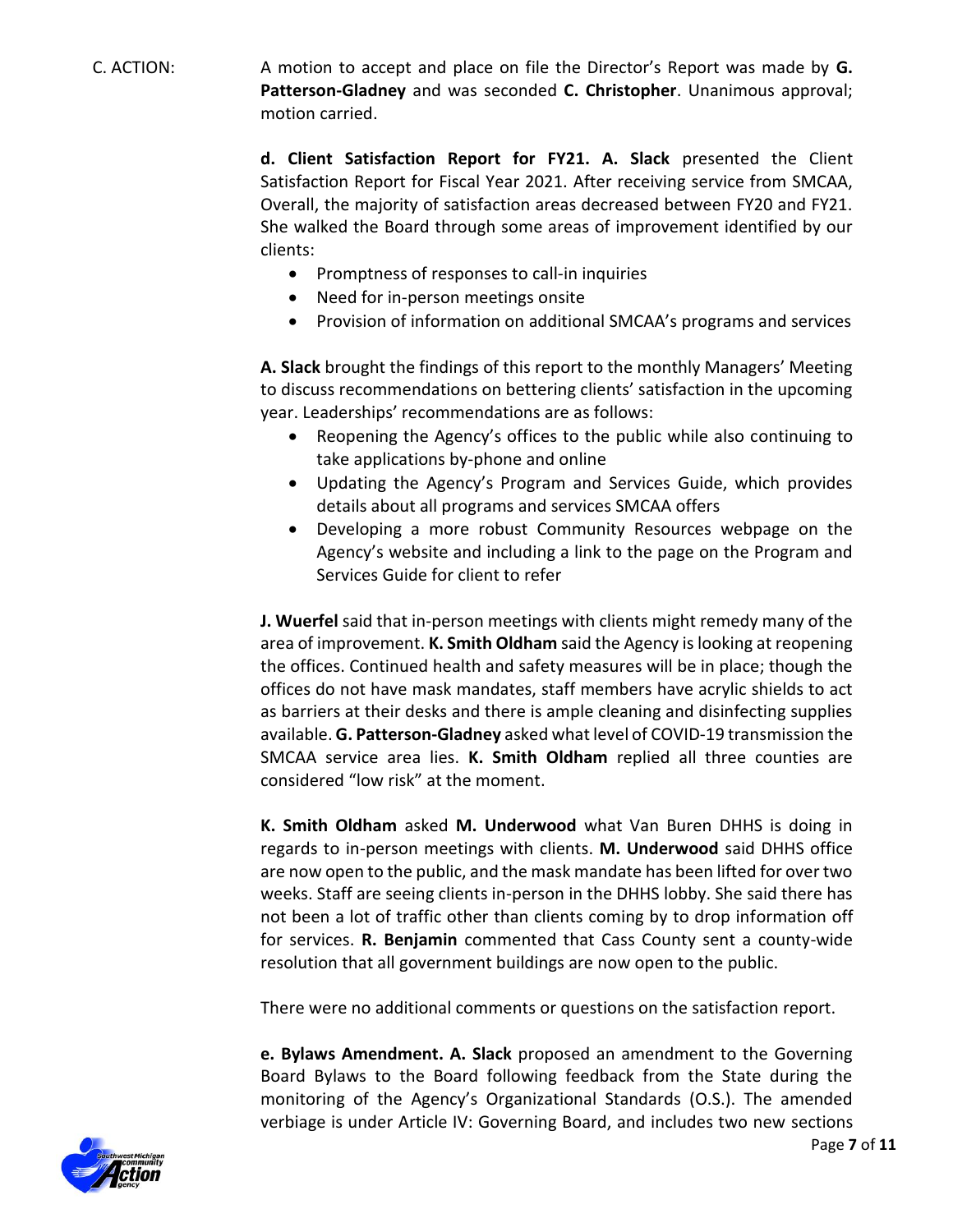C. ACTION: A motion to accept and place on file the Director's Report was made by **G. Patterson-Gladney** and was seconded **C. Christopher**. Unanimous approval; motion carried.

> **d. Client Satisfaction Report for FY21. A. Slack** presented the Client Satisfaction Report for Fiscal Year 2021. After receiving service from SMCAA, Overall, the majority of satisfaction areas decreased between FY20 and FY21. She walked the Board through some areas of improvement identified by our clients:

- Promptness of responses to call-in inquiries
- Need for in-person meetings onsite
- Provision of information on additional SMCAA's programs and services

**A. Slack** brought the findings of this report to the monthly Managers' Meeting to discuss recommendations on bettering clients' satisfaction in the upcoming year. Leaderships' recommendations are as follows:

- Reopening the Agency's offices to the public while also continuing to take applications by-phone and online
- Updating the Agency's Program and Services Guide, which provides details about all programs and services SMCAA offers
- Developing a more robust Community Resources webpage on the Agency's website and including a link to the page on the Program and Services Guide for client to refer

**J. Wuerfel** said that in-person meetings with clients might remedy many of the area of improvement. **K. Smith Oldham** said the Agency is looking at reopening the offices. Continued health and safety measures will be in place; though the offices do not have mask mandates, staff members have acrylic shields to act as barriers at their desks and there is ample cleaning and disinfecting supplies available. **G. Patterson-Gladney** asked what level of COVID-19 transmission the SMCAA service area lies. **K. Smith Oldham** replied all three counties are considered "low risk" at the moment.

**K. Smith Oldham** asked **M. Underwood** what Van Buren DHHS is doing in regards to in-person meetings with clients. **M. Underwood** said DHHS office are now open to the public, and the mask mandate has been lifted for over two weeks. Staff are seeing clients in-person in the DHHS lobby. She said there has not been a lot of traffic other than clients coming by to drop information off for services. **R. Benjamin** commented that Cass County sent a county-wide resolution that all government buildings are now open to the public.

There were no additional comments or questions on the satisfaction report.

**e. Bylaws Amendment. A. Slack** proposed an amendment to the Governing Board Bylaws to the Board following feedback from the State during the monitoring of the Agency's Organizational Standards (O.S.). The amended verbiage is under Article IV: Governing Board, and includes two new sections

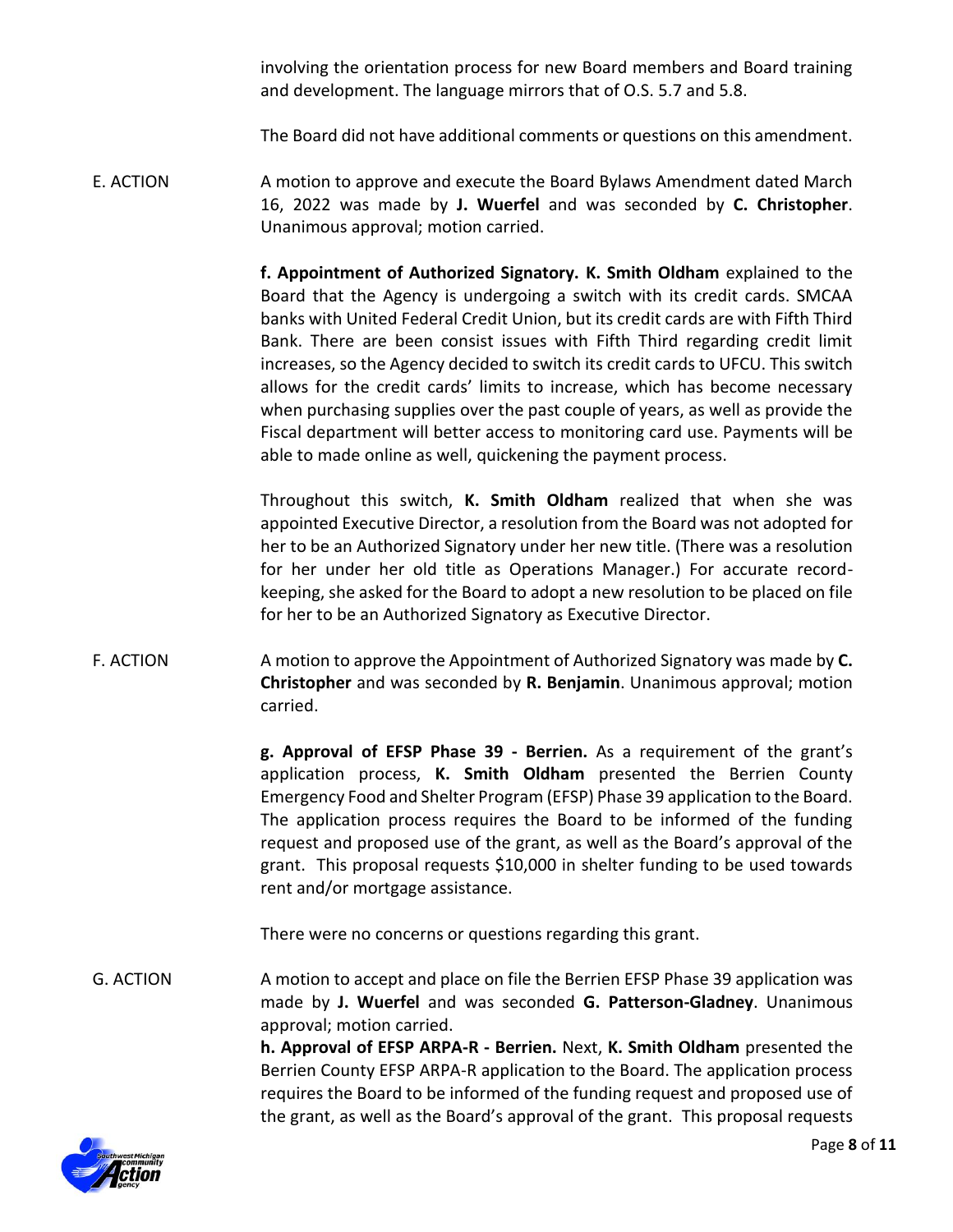involving the orientation process for new Board members and Board training and development. The language mirrors that of O.S. 5.7 and 5.8.

The Board did not have additional comments or questions on this amendment.

E. ACTION A motion to approve and execute the Board Bylaws Amendment dated March 16, 2022 was made by **J. Wuerfel** and was seconded by **C. Christopher**. Unanimous approval; motion carried.

> **f. Appointment of Authorized Signatory. K. Smith Oldham** explained to the Board that the Agency is undergoing a switch with its credit cards. SMCAA banks with United Federal Credit Union, but its credit cards are with Fifth Third Bank. There are been consist issues with Fifth Third regarding credit limit increases, so the Agency decided to switch its credit cards to UFCU. This switch allows for the credit cards' limits to increase, which has become necessary when purchasing supplies over the past couple of years, as well as provide the Fiscal department will better access to monitoring card use. Payments will be able to made online as well, quickening the payment process.

> Throughout this switch, **K. Smith Oldham** realized that when she was appointed Executive Director, a resolution from the Board was not adopted for her to be an Authorized Signatory under her new title. (There was a resolution for her under her old title as Operations Manager.) For accurate recordkeeping, she asked for the Board to adopt a new resolution to be placed on file for her to be an Authorized Signatory as Executive Director.

F. ACTION A motion to approve the Appointment of Authorized Signatory was made by **C. Christopher** and was seconded by **R. Benjamin**. Unanimous approval; motion carried.

> **g. Approval of EFSP Phase 39 - Berrien.** As a requirement of the grant's application process, **K. Smith Oldham** presented the Berrien County Emergency Food and Shelter Program (EFSP) Phase 39 application to the Board. The application process requires the Board to be informed of the funding request and proposed use of the grant, as well as the Board's approval of the grant. This proposal requests \$10,000 in shelter funding to be used towards rent and/or mortgage assistance.

There were no concerns or questions regarding this grant.

G. ACTION A motion to accept and place on file the Berrien EFSP Phase 39 application was made by **J. Wuerfel** and was seconded **G. Patterson-Gladney**. Unanimous approval; motion carried.

**h. Approval of EFSP ARPA-R - Berrien.** Next, **K. Smith Oldham** presented the Berrien County EFSP ARPA-R application to the Board. The application process requires the Board to be informed of the funding request and proposed use of the grant, as well as the Board's approval of the grant. This proposal requests

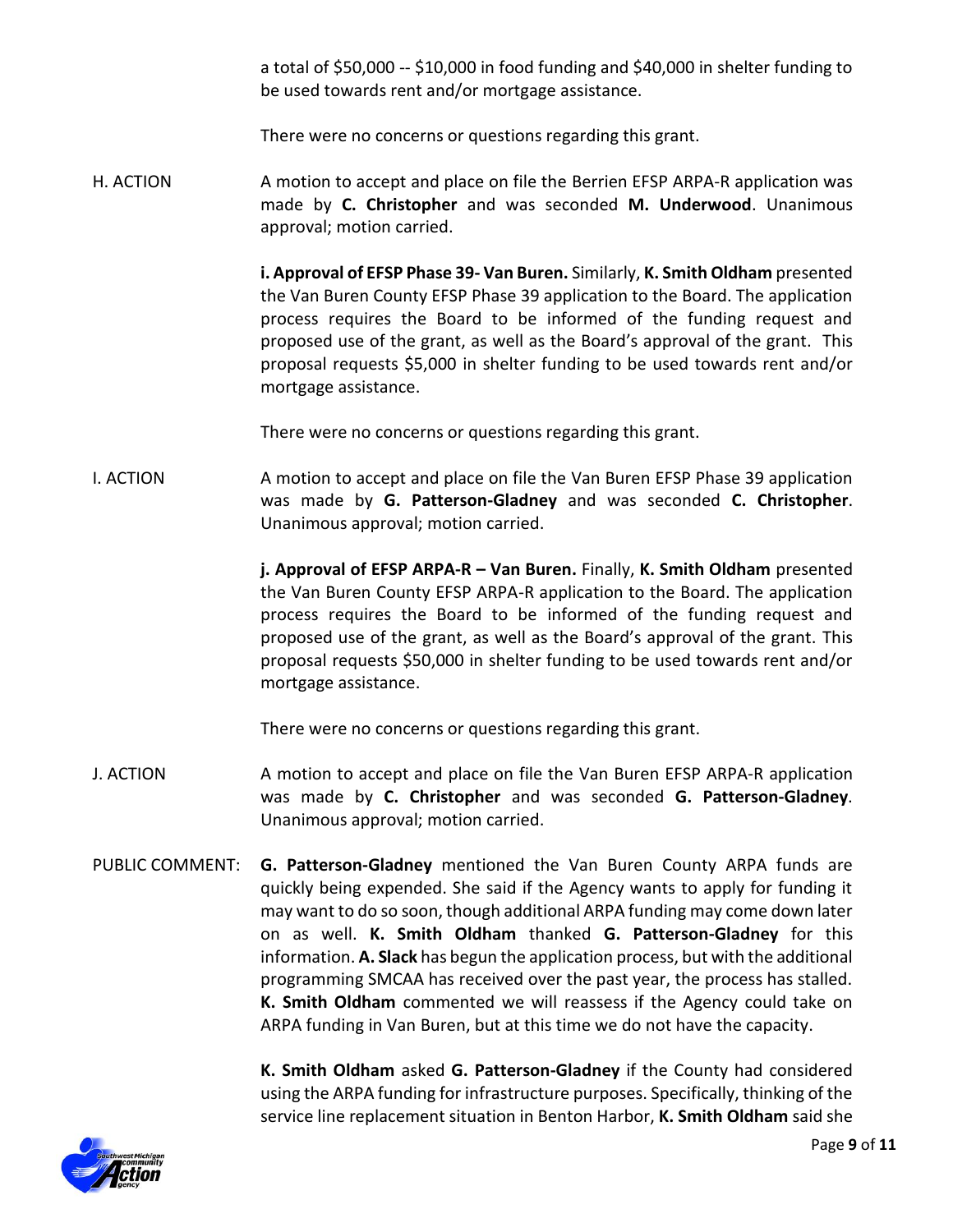a total of \$50,000 -- \$10,000 in food funding and \$40,000 in shelter funding to be used towards rent and/or mortgage assistance.

There were no concerns or questions regarding this grant.

H. ACTION A motion to accept and place on file the Berrien EFSP ARPA-R application was made by **C. Christopher** and was seconded **M. Underwood**. Unanimous approval; motion carried.

> **i. Approval of EFSP Phase 39- Van Buren.** Similarly, **K. Smith Oldham** presented the Van Buren County EFSP Phase 39 application to the Board. The application process requires the Board to be informed of the funding request and proposed use of the grant, as well as the Board's approval of the grant. This proposal requests \$5,000 in shelter funding to be used towards rent and/or mortgage assistance.

There were no concerns or questions regarding this grant.

I. ACTION A motion to accept and place on file the Van Buren EFSP Phase 39 application was made by **G. Patterson-Gladney** and was seconded **C. Christopher**. Unanimous approval; motion carried.

> **j. Approval of EFSP ARPA-R – Van Buren.** Finally, **K. Smith Oldham** presented the Van Buren County EFSP ARPA-R application to the Board. The application process requires the Board to be informed of the funding request and proposed use of the grant, as well as the Board's approval of the grant. This proposal requests \$50,000 in shelter funding to be used towards rent and/or mortgage assistance.

There were no concerns or questions regarding this grant.

- J. ACTION A motion to accept and place on file the Van Buren EFSP ARPA-R application was made by **C. Christopher** and was seconded **G. Patterson-Gladney**. Unanimous approval; motion carried.
- PUBLIC COMMENT: **G. Patterson-Gladney** mentioned the Van Buren County ARPA funds are quickly being expended. She said if the Agency wants to apply for funding it may want to do so soon, though additional ARPA funding may come down later on as well. **K. Smith Oldham** thanked **G. Patterson-Gladney** for this information. **A. Slack** has begun the application process, but with the additional programming SMCAA has received over the past year, the process has stalled. **K. Smith Oldham** commented we will reassess if the Agency could take on ARPA funding in Van Buren, but at this time we do not have the capacity.

**K. Smith Oldham** asked **G. Patterson-Gladney** if the County had considered using the ARPA funding for infrastructure purposes. Specifically, thinking of the service line replacement situation in Benton Harbor, **K. Smith Oldham** said she

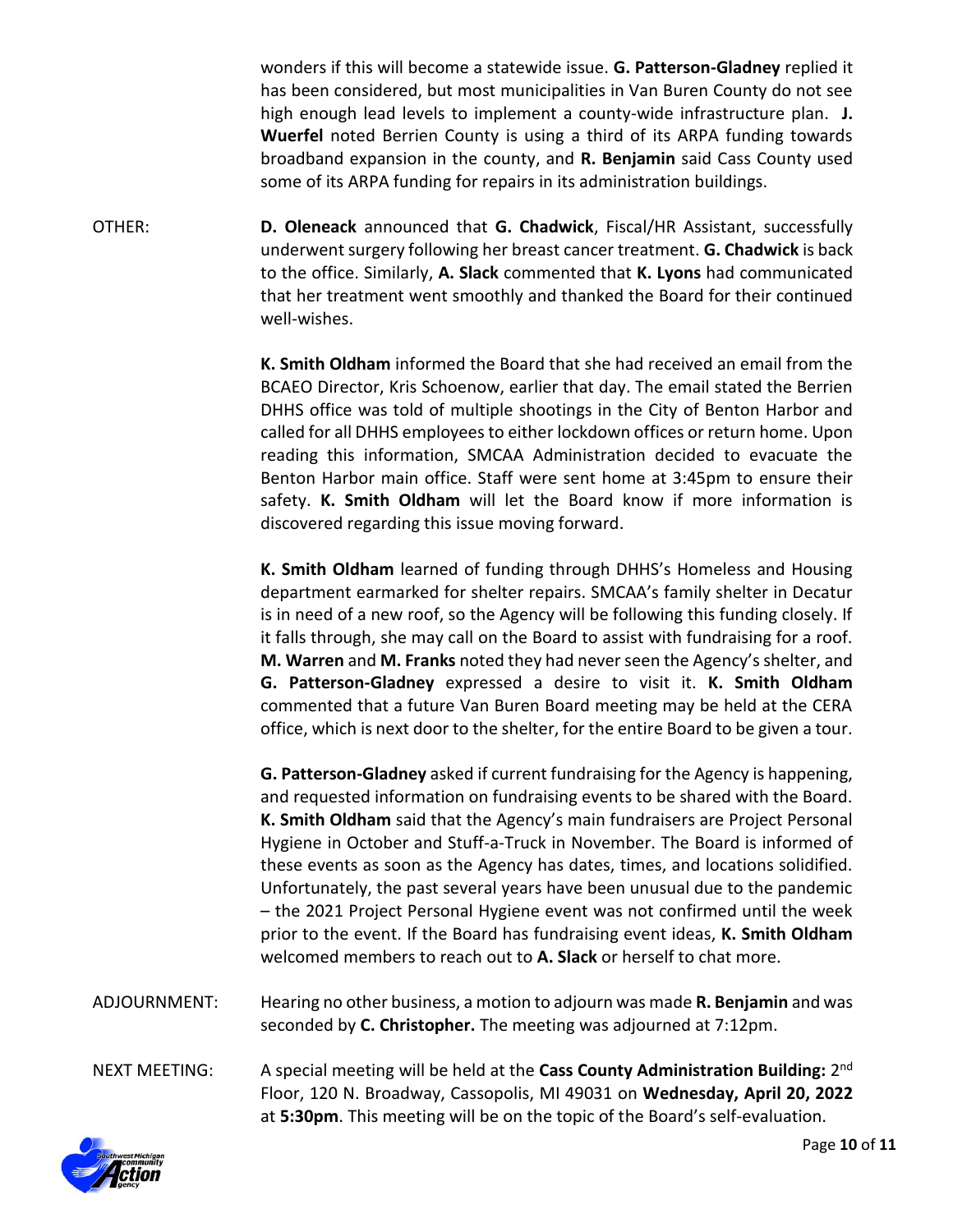wonders if this will become a statewide issue. **G. Patterson-Gladney** replied it has been considered, but most municipalities in Van Buren County do not see high enough lead levels to implement a county-wide infrastructure plan. **J. Wuerfel** noted Berrien County is using a third of its ARPA funding towards broadband expansion in the county, and **R. Benjamin** said Cass County used some of its ARPA funding for repairs in its administration buildings.

OTHER: **D. Oleneack** announced that **G. Chadwick**, Fiscal/HR Assistant, successfully underwent surgery following her breast cancer treatment. **G. Chadwick** is back to the office. Similarly, **A. Slack** commented that **K. Lyons** had communicated that her treatment went smoothly and thanked the Board for their continued well-wishes.

> **K. Smith Oldham** informed the Board that she had received an email from the BCAEO Director, Kris Schoenow, earlier that day. The email stated the Berrien DHHS office was told of multiple shootings in the City of Benton Harbor and called for all DHHS employees to either lockdown offices or return home. Upon reading this information, SMCAA Administration decided to evacuate the Benton Harbor main office. Staff were sent home at 3:45pm to ensure their safety. **K. Smith Oldham** will let the Board know if more information is discovered regarding this issue moving forward.

> **K. Smith Oldham** learned of funding through DHHS's Homeless and Housing department earmarked for shelter repairs. SMCAA's family shelter in Decatur is in need of a new roof, so the Agency will be following this funding closely. If it falls through, she may call on the Board to assist with fundraising for a roof. **M. Warren** and **M. Franks** noted they had never seen the Agency's shelter, and **G. Patterson-Gladney** expressed a desire to visit it. **K. Smith Oldham** commented that a future Van Buren Board meeting may be held at the CERA office, which is next door to the shelter, for the entire Board to be given a tour.

> **G. Patterson-Gladney** asked if current fundraising for the Agency is happening, and requested information on fundraising events to be shared with the Board. **K. Smith Oldham** said that the Agency's main fundraisers are Project Personal Hygiene in October and Stuff-a-Truck in November. The Board is informed of these events as soon as the Agency has dates, times, and locations solidified. Unfortunately, the past several years have been unusual due to the pandemic – the 2021 Project Personal Hygiene event was not confirmed until the week prior to the event. If the Board has fundraising event ideas, **K. Smith Oldham** welcomed members to reach out to **A. Slack** or herself to chat more.

- ADJOURNMENT: Hearing no other business, a motion to adjourn was made **R. Benjamin** and was seconded by **C. Christopher.** The meeting was adjourned at 7:12pm.
- NEXT MEETING: A special meeting will be held at the **Cass County Administration Building:** 2<sup>nd</sup> Floor, 120 N. Broadway, Cassopolis, MI 49031 on **Wednesday, April 20, 2022**  at **5:30pm**. This meeting will be on the topic of the Board's self-evaluation.